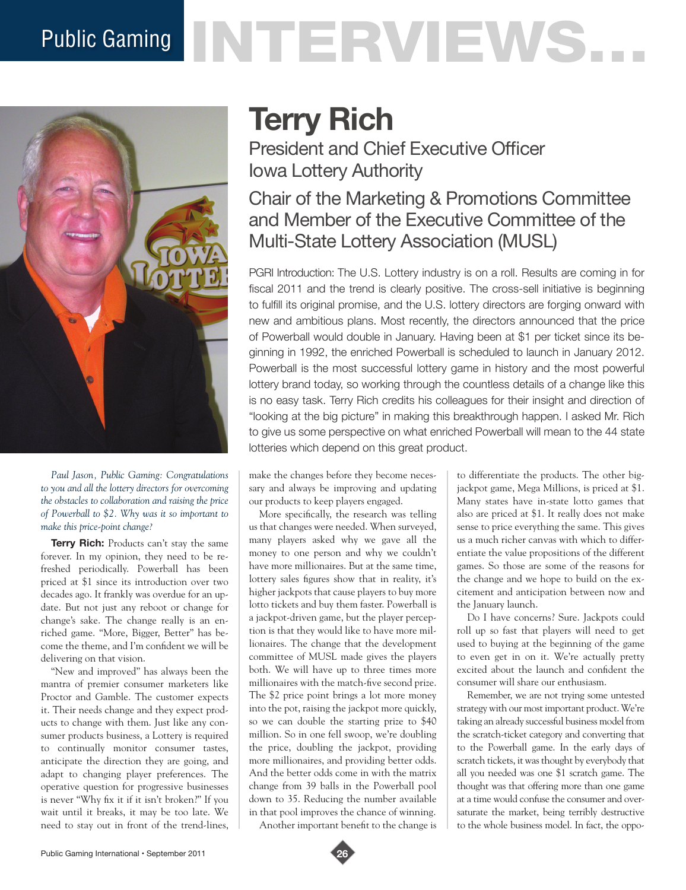# Public Gaming NTERVENS.



*Paul Jason, Public Gaming: Congratulations to you and all the lottery directors for overcoming the obstacles to collaboration and raising the price of Powerball to \$2. Why was it so important to make this price-point change?* 

**Terry Rich:** Products can't stay the same forever. In my opinion, they need to be refreshed periodically. Powerball has been priced at \$1 since its introduction over two decades ago. It frankly was overdue for an update. But not just any reboot or change for change's sake. The change really is an enriched game. "More, Bigger, Better" has become the theme, and I'm confident we will be delivering on that vision.

"New and improved" has always been the mantra of premier consumer marketers like Proctor and Gamble. The customer expects it. Their needs change and they expect products to change with them. Just like any consumer products business, a Lottery is required to continually monitor consumer tastes, anticipate the direction they are going, and adapt to changing player preferences. The operative question for progressive businesses is never "Why fix it if it isn't broken?" If you wait until it breaks, it may be too late. We need to stay out in front of the trend-lines,

## **Terry Rich**

President and Chief Executive Officer Iowa Lottery Authority

### Chair of the Marketing & Promotions Committee and Member of the Executive Committee of the Multi-State Lottery Association (MUSL)

PGRI Introduction: The U.S. Lottery industry is on a roll. Results are coming in for fiscal 2011 and the trend is clearly positive. The cross-sell initiative is beginning to fulfill its original promise, and the U.S. lottery directors are forging onward with new and ambitious plans. Most recently, the directors announced that the price of Powerball would double in January. Having been at \$1 per ticket since its beginning in 1992, the enriched Powerball is scheduled to launch in January 2012. Powerball is the most successful lottery game in history and the most powerful lottery brand today, so working through the countless details of a change like this is no easy task. Terry Rich credits his colleagues for their insight and direction of "looking at the big picture" in making this breakthrough happen. I asked Mr. Rich to give us some perspective on what enriched Powerball will mean to the 44 state lotteries which depend on this great product.

make the changes before they become necessary and always be improving and updating our products to keep players engaged.

More specifically, the research was telling us that changes were needed. When surveyed, many players asked why we gave all the money to one person and why we couldn't have more millionaires. But at the same time, lottery sales figures show that in reality, it's higher jackpots that cause players to buy more lotto tickets and buy them faster. Powerball is a jackpot-driven game, but the player perception is that they would like to have more millionaires. The change that the development committee of MUSL made gives the players both. We will have up to three times more millionaires with the match-five second prize. The \$2 price point brings a lot more money into the pot, raising the jackpot more quickly, so we can double the starting prize to \$40 million. So in one fell swoop, we're doubling the price, doubling the jackpot, providing more millionaires, and providing better odds. And the better odds come in with the matrix change from 39 balls in the Powerball pool down to 35. Reducing the number available in that pool improves the chance of winning.

Another important benefit to the change is

to differentiate the products. The other bigjackpot game, Mega Millions, is priced at \$1. Many states have in-state lotto games that also are priced at \$1. It really does not make sense to price everything the same. This gives us a much richer canvas with which to differentiate the value propositions of the different games. So those are some of the reasons for the change and we hope to build on the excitement and anticipation between now and the January launch.

Do I have concerns? Sure. Jackpots could roll up so fast that players will need to get used to buying at the beginning of the game to even get in on it. We're actually pretty excited about the launch and confident the consumer will share our enthusiasm.

Remember, we are not trying some untested strategy with our most important product. We're taking an already successful business model from the scratch-ticket category and converting that to the Powerball game. In the early days of scratch tickets, it was thought by everybody that all you needed was one \$1 scratch game. The thought was that offering more than one game at a time would confuse the consumer and oversaturate the market, being terribly destructive to the whole business model. In fact, the oppo-

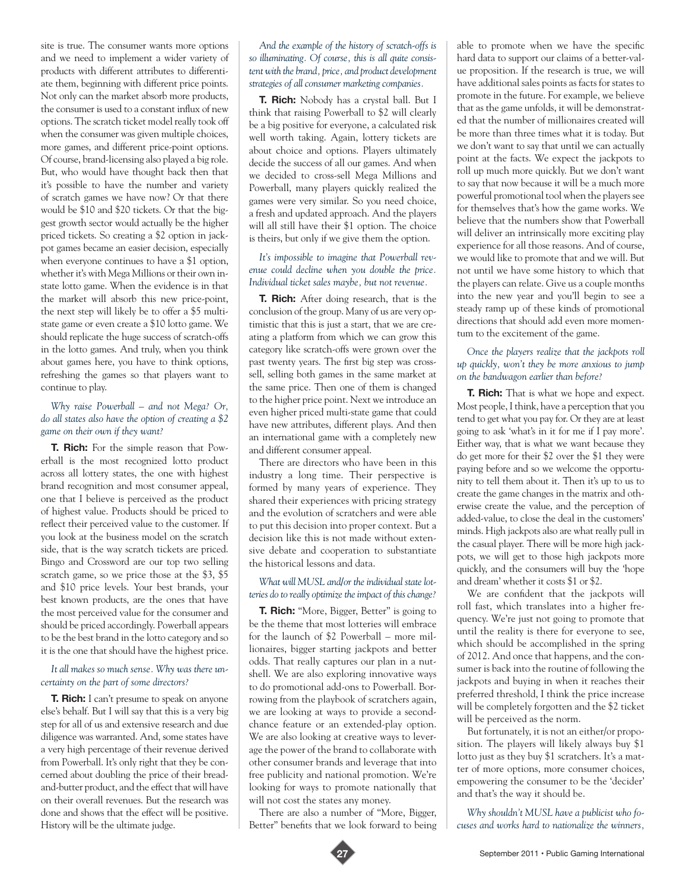site is true. The consumer wants more options and we need to implement a wider variety of products with different attributes to differentiate them, beginning with different price points. Not only can the market absorb more products, the consumer is used to a constant influx of new options. The scratch ticket model really took off when the consumer was given multiple choices, more games, and different price-point options. Of course, brand-licensing also played a big role. But, who would have thought back then that it's possible to have the number and variety of scratch games we have now? Or that there would be \$10 and \$20 tickets. Or that the biggest growth sector would actually be the higher priced tickets. So creating a \$2 option in jackpot games became an easier decision, especially when everyone continues to have a \$1 option, whether it's with Mega Millions or their own instate lotto game. When the evidence is in that the market will absorb this new price-point, the next step will likely be to offer a \$5 multistate game or even create a \$10 lotto game. We should replicate the huge success of scratch-offs in the lotto games. And truly, when you think about games here, you have to think options, refreshing the games so that players want to continue to play.

#### *Why raise Powerball – and not Mega? Or, do all states also have the option of creating a \$2 game on their own if they want?*

**T. Rich:** For the simple reason that Powerball is the most recognized lotto product across all lottery states, the one with highest brand recognition and most consumer appeal, one that I believe is perceived as the product of highest value. Products should be priced to reflect their perceived value to the customer. If you look at the business model on the scratch side, that is the way scratch tickets are priced. Bingo and Crossword are our top two selling scratch game, so we price those at the \$3, \$5 and \$10 price levels. Your best brands, your best known products, are the ones that have the most perceived value for the consumer and should be priced accordingly. Powerball appears to be the best brand in the lotto category and so it is the one that should have the highest price.

#### *It all makes so much sense. Why was there uncertainty on the part of some directors?*

**T. Rich:** I can't presume to speak on anyone else's behalf. But I will say that this is a very big step for all of us and extensive research and due diligence was warranted. And, some states have a very high percentage of their revenue derived from Powerball. It's only right that they be concerned about doubling the price of their breadand-butter product, and the effect that will have on their overall revenues. But the research was done and shows that the effect will be positive. History will be the ultimate judge.

*And the example of the history of scratch-offs is so illuminating. Of course, this is all quite consistent with the brand, price, and product development strategies of all consumer marketing companies.* 

**T. Rich:** Nobody has a crystal ball. But I think that raising Powerball to \$2 will clearly be a big positive for everyone, a calculated risk well worth taking. Again, lottery tickets are about choice and options. Players ultimately decide the success of all our games. And when we decided to cross-sell Mega Millions and Powerball, many players quickly realized the games were very similar. So you need choice, a fresh and updated approach. And the players will all still have their \$1 option. The choice is theirs, but only if we give them the option.

#### *It's impossible to imagine that Powerball revenue could decline when you double the price. Individual ticket sales maybe, but not revenue.*

**T. Rich:** After doing research, that is the conclusion of the group. Many of us are very optimistic that this is just a start, that we are creating a platform from which we can grow this category like scratch-offs were grown over the past twenty years. The first big step was crosssell, selling both games in the same market at the same price. Then one of them is changed to the higher price point. Next we introduce an even higher priced multi-state game that could have new attributes, different plays. And then an international game with a completely new and different consumer appeal.

There are directors who have been in this industry a long time. Their perspective is formed by many years of experience. They shared their experiences with pricing strategy and the evolution of scratchers and were able to put this decision into proper context. But a decision like this is not made without extensive debate and cooperation to substantiate the historical lessons and data.

#### *What will MUSL and/or the individual state lotteries do to really optimize the impact of this change?*

**T. Rich:** "More, Bigger, Better" is going to be the theme that most lotteries will embrace for the launch of \$2 Powerball – more millionaires, bigger starting jackpots and better odds. That really captures our plan in a nutshell. We are also exploring innovative ways to do promotional add-ons to Powerball. Borrowing from the playbook of scratchers again, we are looking at ways to provide a secondchance feature or an extended-play option. We are also looking at creative ways to leverage the power of the brand to collaborate with other consumer brands and leverage that into free publicity and national promotion. We're looking for ways to promote nationally that will not cost the states any money.

There are also a number of "More, Bigger, Better" benefits that we look forward to being able to promote when we have the specific hard data to support our claims of a better-value proposition. If the research is true, we will have additional sales points as facts for states to promote in the future. For example, we believe that as the game unfolds, it will be demonstrated that the number of millionaires created will be more than three times what it is today. But we don't want to say that until we can actually point at the facts. We expect the jackpots to roll up much more quickly. But we don't want to say that now because it will be a much more powerful promotional tool when the players see for themselves that's how the game works. We believe that the numbers show that Powerball will deliver an intrinsically more exciting play experience for all those reasons. And of course, we would like to promote that and we will. But not until we have some history to which that the players can relate. Give us a couple months into the new year and you'll begin to see a steady ramp up of these kinds of promotional directions that should add even more momentum to the excitement of the game.

#### *Once the players realize that the jackpots roll up quickly, won't they be more anxious to jump on the bandwagon earlier than before?*

**T. Rich:** That is what we hope and expect. Most people, I think, have a perception that you tend to get what you pay for. Or they are at least going to ask 'what's in it for me if I pay more'. Either way, that is what we want because they do get more for their \$2 over the \$1 they were paying before and so we welcome the opportunity to tell them about it. Then it's up to us to create the game changes in the matrix and otherwise create the value, and the perception of added-value, to close the deal in the customers' minds. High jackpots also are what really pull in the casual player. There will be more high jackpots, we will get to those high jackpots more quickly, and the consumers will buy the 'hope and dream' whether it costs \$1 or \$2.

We are confident that the jackpots will roll fast, which translates into a higher frequency. We're just not going to promote that until the reality is there for everyone to see, which should be accomplished in the spring of 2012. And once that happens, and the consumer is back into the routine of following the jackpots and buying in when it reaches their preferred threshold, I think the price increase will be completely forgotten and the \$2 ticket will be perceived as the norm.

But fortunately, it is not an either/or proposition. The players will likely always buy \$1 lotto just as they buy \$1 scratchers. It's a matter of more options, more consumer choices, empowering the consumer to be the 'decider' and that's the way it should be.

*Why shouldn't MUSL have a publicist who focuses and works hard to nationalize the winners,*